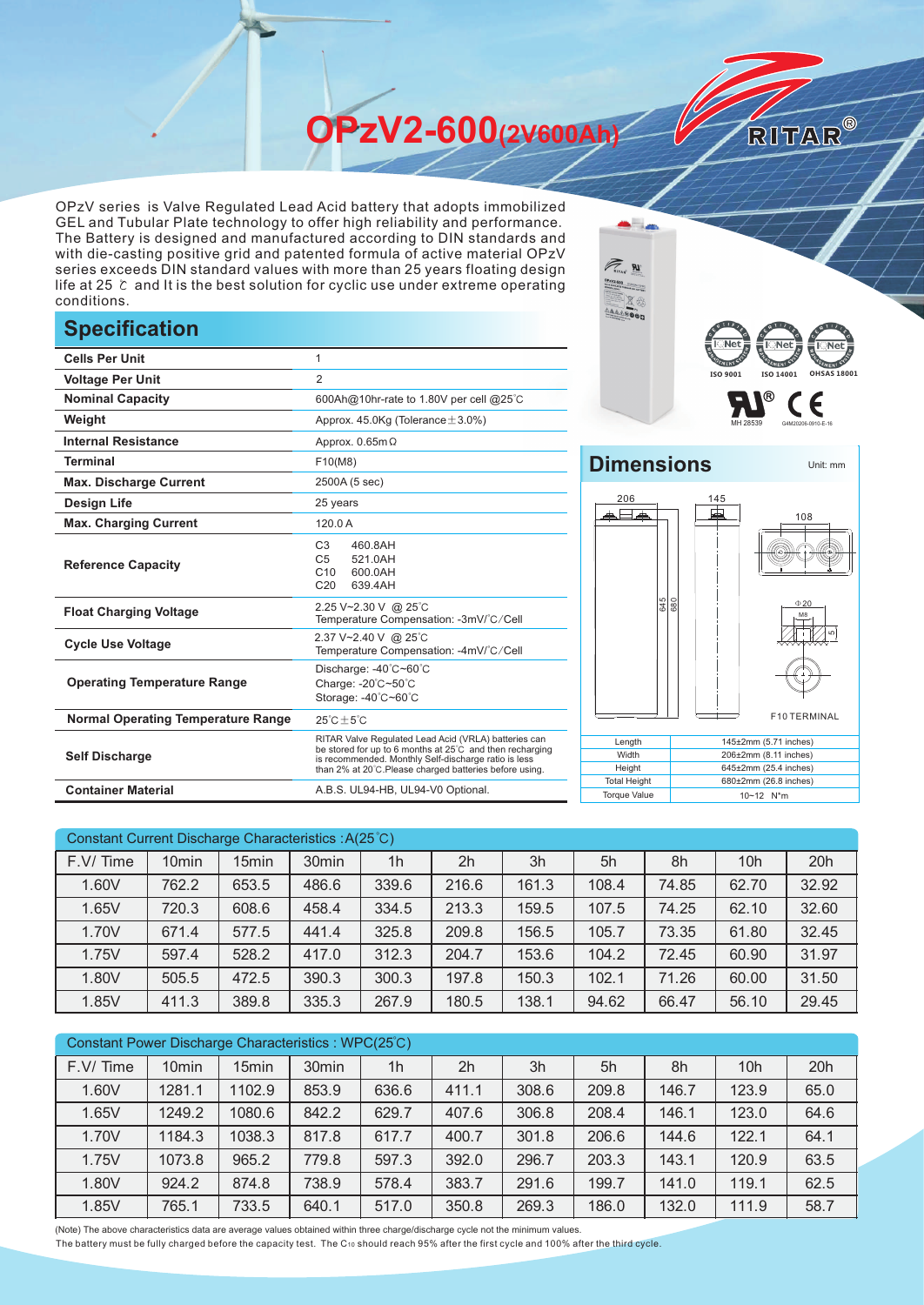**OPzV2-600(2V600Ah)** 

OPzV series is Valve Regulated Lead Acid battery that adopts immobilized GEL and Tubular Plate technology to offer high reliability and performance. The Battery is designed and manufactured according to DIN standards and with die-casting positive grid and patented formula of active material OPzV series exceeds DIN standard values with more than 25 years floating design life at 25 ℃ and It is the best solution for cyclic use under extreme operating conditions.

## **Specification**

|                                           |                                                                                                                                                                                                                                     | $\mathbf{R}^{\text{I-Met}}$<br><b>E</b> L Ne                                     |
|-------------------------------------------|-------------------------------------------------------------------------------------------------------------------------------------------------------------------------------------------------------------------------------------|----------------------------------------------------------------------------------|
| <b>Cells Per Unit</b>                     | 1                                                                                                                                                                                                                                   |                                                                                  |
| <b>Voltage Per Unit</b>                   | $\overline{2}$                                                                                                                                                                                                                      | ISO 9001<br>ISO 140                                                              |
| <b>Nominal Capacity</b>                   | 600Ah@10hr-rate to 1.80V per cell @25°C                                                                                                                                                                                             |                                                                                  |
| Weight                                    | Approx. $45.0$ Kg (Tolerance $\pm 3.0\%$ )                                                                                                                                                                                          |                                                                                  |
| <b>Internal Resistance</b>                | Approx. $0.65m\Omega$                                                                                                                                                                                                               |                                                                                  |
| <b>Terminal</b>                           | F10(M8)                                                                                                                                                                                                                             | <b>Dimensions</b>                                                                |
| <b>Max. Discharge Current</b>             | 2500A (5 sec)                                                                                                                                                                                                                       |                                                                                  |
| <b>Design Life</b>                        | 25 years                                                                                                                                                                                                                            | 206<br>145<br>中                                                                  |
| <b>Max. Charging Current</b>              | 120.0A                                                                                                                                                                                                                              |                                                                                  |
| <b>Reference Capacity</b>                 | C <sub>3</sub><br>460.8AH<br>C <sub>5</sub><br>521.0AH<br>C10<br>600.0AH<br>C <sub>20</sub><br>639.4AH                                                                                                                              | $_{\odot}$                                                                       |
| <b>Float Charging Voltage</b>             | 2.25 V~2.30 V @ 25°C<br>Temperature Compensation: -3mV/°C/Cell                                                                                                                                                                      | 645                                                                              |
| <b>Cycle Use Voltage</b>                  | 2.37 V~2.40 V @ 25°C<br>Temperature Compensation: -4mV/°C/Cell                                                                                                                                                                      |                                                                                  |
| <b>Operating Temperature Range</b>        | Discharge: -40°C~60°C<br>Charge: -20°C~50°C<br>Storage: -40°C~60°C                                                                                                                                                                  |                                                                                  |
| <b>Normal Operating Temperature Range</b> | $25^{\circ}$ C $\pm 5^{\circ}$ C                                                                                                                                                                                                    | F10                                                                              |
| <b>Self Discharge</b>                     | RITAR Valve Regulated Lead Acid (VRLA) batteries can<br>be stored for up to 6 months at 25°C and then recharging<br>is recommended. Monthly Self-discharge ratio is less<br>than 2% at 20°C. Please charged batteries before using. | 145±2mm (5.71<br>Length<br>Width<br>206±2mm (8.11 i<br>Height<br>645±2mm (25.4 i |
| <b>Container Material</b>                 | A.B.S. UL94-HB, UL94-V0 Optional.                                                                                                                                                                                                   | <b>Total Height</b><br>680±2mm (26.8<br><b>Torque Value</b><br>10~12 N*m         |



RITAR®

Unit: mm

## **Dimensions**



| Width               | 206±2mm (8.11 inches)      |
|---------------------|----------------------------|
| Height              | $645\pm2$ mm (25.4 inches) |
| <b>Total Height</b> | 680±2mm (26.8 inches)      |
| <b>Torque Value</b> | $10 - 12$ N <sup>*</sup> m |

| Constant Current Discharge Characteristics: A(25 °C) |                   |                   |                   |                |                |       |       |       |                 |       |
|------------------------------------------------------|-------------------|-------------------|-------------------|----------------|----------------|-------|-------|-------|-----------------|-------|
| F.V/Time                                             | 10 <sub>min</sub> | 15 <sub>min</sub> | 30 <sub>min</sub> | 1 <sub>h</sub> | 2 <sub>h</sub> | 3h    | 5h    | 8h    | 10 <sub>h</sub> | 20h   |
| 1.60V                                                | 762.2             | 653.5             | 486.6             | 339.6          | 216.6          | 161.3 | 108.4 | 74.85 | 62.70           | 32.92 |
| 1.65V                                                | 720.3             | 608.6             | 458.4             | 334.5          | 213.3          | 159.5 | 107.5 | 74.25 | 62.10           | 32.60 |
| 1.70V                                                | 671.4             | 577.5             | 441.4             | 325.8          | 209.8          | 156.5 | 105.7 | 73.35 | 61.80           | 32.45 |
| 1.75V                                                | 597.4             | 528.2             | 417.0             | 312.3          | 204.7          | 153.6 | 104.2 | 72.45 | 60.90           | 31.97 |
| 1.80V                                                | 505.5             | 472.5             | 390.3             | 300.3          | 197.8          | 150.3 | 102.1 | 71.26 | 60.00           | 31.50 |
| 1.85V                                                | 411.3             | 389.8             | 335.3             | 267.9          | 180.5          | 138.1 | 94.62 | 66.47 | 56.10           | 29.45 |

| Constant Power Discharge Characteristics : WPC(25°C) |                   |                   |                   |                |                |       |       |       |                 |      |
|------------------------------------------------------|-------------------|-------------------|-------------------|----------------|----------------|-------|-------|-------|-----------------|------|
| F.V/Time                                             | 10 <sub>min</sub> | 15 <sub>min</sub> | 30 <sub>min</sub> | 1 <sub>h</sub> | 2 <sub>h</sub> | 3h    | 5h    | 8h    | 10 <sub>h</sub> | 20h  |
| 1.60V                                                | 1281.1            | 1102.9            | 853.9             | 636.6          | 411.1          | 308.6 | 209.8 | 146.7 | 123.9           | 65.0 |
| 1.65V                                                | 1249.2            | 1080.6            | 842.2             | 629.7          | 407.6          | 306.8 | 208.4 | 146.1 | 123.0           | 64.6 |
| 1.70V                                                | 1184.3            | 1038.3            | 817.8             | 617.7          | 400.7          | 301.8 | 206.6 | 144.6 | 122.1           | 64.1 |
| 1.75V                                                | 1073.8            | 965.2             | 779.8             | 597.3          | 392.0          | 296.7 | 203.3 | 143.1 | 120.9           | 63.5 |
| 1.80V                                                | 924.2             | 874.8             | 738.9             | 578.4          | 383.7          | 291.6 | 199.7 | 141.0 | 119.1           | 62.5 |
| 1.85V                                                | 765.1             | 733.5             | 640.1             | 517.0          | 350.8          | 269.3 | 186.0 | 132.0 | 111.9           | 58.7 |

(Note) The above characteristics data are average values obtained within three charge/discharge cycle not the minimum values.

The battery must be fully charged before the capacity test. The C10 should reach 95% after the first cycle and 100% after the third cycle.